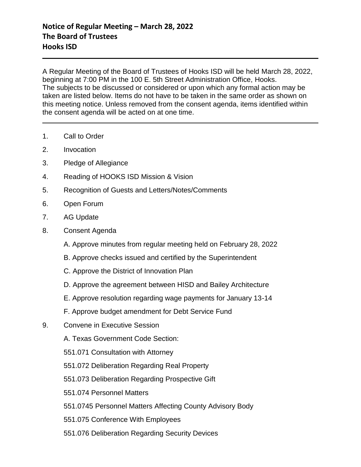A Regular Meeting of the Board of Trustees of Hooks ISD will be held March 28, 2022, beginning at 7:00 PM in the 100 E. 5th Street Administration Office, Hooks. The subjects to be discussed or considered or upon which any formal action may be taken are listed below. Items do not have to be taken in the same order as shown on this meeting notice. Unless removed from the consent agenda, items identified within the consent agenda will be acted on at one time.

- 1. Call to Order
- 2. Invocation
- 3. Pledge of Allegiance
- 4. Reading of HOOKS ISD Mission & Vision
- 5. Recognition of Guests and Letters/Notes/Comments
- 6. Open Forum
- 7. AG Update
- 8. Consent Agenda
	- A. Approve minutes from regular meeting held on February 28, 2022
	- B. Approve checks issued and certified by the Superintendent
	- C. Approve the District of Innovation Plan
	- D. Approve the agreement between HISD and Bailey Architecture
	- E. Approve resolution regarding wage payments for January 13-14
	- F. Approve budget amendment for Debt Service Fund
- 9. Convene in Executive Session
	- A. Texas Government Code Section:
	- 551.071 Consultation with Attorney
	- 551.072 Deliberation Regarding Real Property
	- 551.073 Deliberation Regarding Prospective Gift
	- 551.074 Personnel Matters
	- 551.0745 Personnel Matters Affecting County Advisory Body
	- 551.075 Conference With Employees
	- 551.076 Deliberation Regarding Security Devices